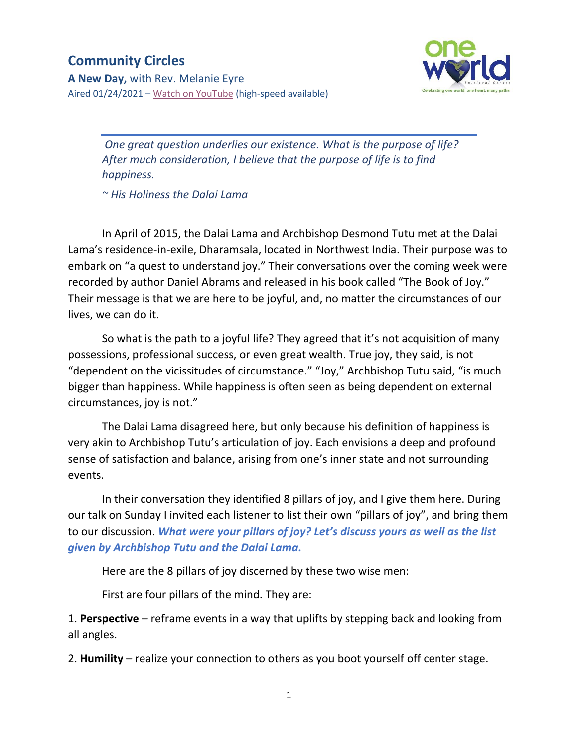## **Community Circles**





*One great question underlies our existence. What is the purpose of life? After much consideration, I believe that the purpose of life is to find happiness.*

*~ His Holiness the Dalai Lama*

In April of 2015, the Dalai Lama and Archbishop Desmond Tutu met at the Dalai Lama's residence-in-exile, Dharamsala, located in Northwest India. Their purpose was to embark on "a quest to understand joy." Their conversations over the coming week were recorded by author Daniel Abrams and released in his book called "The Book of Joy." Their message is that we are here to be joyful, and, no matter the circumstances of our lives, we can do it.

So what is the path to a joyful life? They agreed that it's not acquisition of many possessions, professional success, or even great wealth. True joy, they said, is not "dependent on the vicissitudes of circumstance." "Joy," Archbishop Tutu said, "is much bigger than happiness. While happiness is often seen as being dependent on external circumstances, joy is not."

The Dalai Lama disagreed here, but only because his definition of happiness is very akin to Archbishop Tutu's articulation of joy. Each envisions a deep and profound sense of satisfaction and balance, arising from one's inner state and not surrounding events.

In their conversation they identified 8 pillars of joy, and I give them here. During our talk on Sunday I invited each listener to list their own "pillars of joy", and bring them to our discussion. *What were your pillars of joy? Let's discuss yours as well as the list given by Archbishop Tutu and the Dalai Lama.*

Here are the 8 pillars of joy discerned by these two wise men:

First are four pillars of the mind. They are:

1. **Perspective** – reframe events in a way that uplifts by stepping back and looking from all angles.

2. **Humility** – realize your connection to others as you boot yourself off center stage.